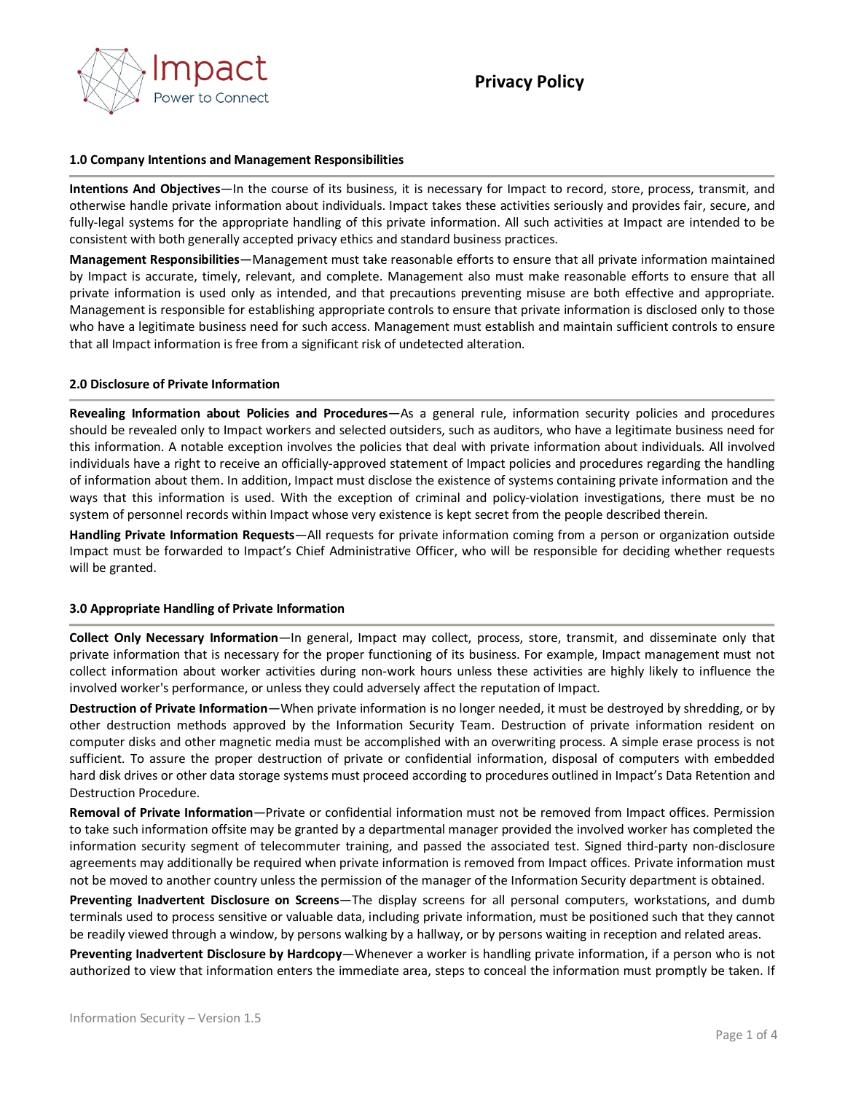

## **1.0 Company Intentions and Management Responsibilities**

**Intentions And Objectives**—In the course of its business, it is necessary for Impact to record, store, process, transmit, and otherwise handle private information about individuals. Impact takes these activities seriously and provides fair, secure, and fully-legal systems for the appropriate handling of this private information. All such activities at Impact are intended to be consistent with both generally accepted privacy ethics and standard business practices.

**Management Responsibilities**—Management must take reasonable efforts to ensure that all private information maintained by Impact is accurate, timely, relevant, and complete. Management also must make reasonable efforts to ensure that all private information is used only as intended, and that precautions preventing misuse are both effective and appropriate. Management is responsible for establishing appropriate controls to ensure that private information is disclosed only to those who have a legitimate business need for such access. Management must establish and maintain sufficient controls to ensure that all Impact information is free from a significant risk of undetected alteration.

### **2.0 Disclosure of Private Information**

**Revealing Information about Policies and Procedures**—As a general rule, information security policies and procedures should be revealed only to Impact workers and selected outsiders, such as auditors, who have a legitimate business need for this information. A notable exception involves the policies that deal with private information about individuals. All involved individuals have a right to receive an officially-approved statement of Impact policies and procedures regarding the handling of information about them. In addition, Impact must disclose the existence of systems containing private information and the ways that this information is used. With the exception of criminal and policy-violation investigations, there must be no system of personnel records within Impact whose very existence is kept secret from the people described therein.

**Handling Private Information Requests**—All requests for private information coming from a person or organization outside Impact must be forwarded to Impact's Chief Administrative Officer, who will be responsible for deciding whether requests will be granted.

# **3.0 Appropriate Handling of Private Information**

**Collect Only Necessary Information**—In general, Impact may collect, process, store, transmit, and disseminate only that private information that is necessary for the proper functioning of its business. For example, Impact management must not collect information about worker activities during non-work hours unless these activities are highly likely to influence the involved worker's performance, or unless they could adversely affect the reputation of Impact.

**Destruction of Private Information**—When private information is no longer needed, it must be destroyed by shredding, or by other destruction methods approved by the Information Security Team. Destruction of private information resident on computer disks and other magnetic media must be accomplished with an overwriting process. A simple erase process is not sufficient. To assure the proper destruction of private or confidential information, disposal of computers with embedded hard disk drives or other data storage systems must proceed according to procedures outlined in Impact's Data Retention and Destruction Procedure.

**Removal of Private Information**—Private or confidential information must not be removed from Impact offices. Permission to take such information offsite may be granted by a departmental manager provided the involved worker has completed the information security segment of telecommuter training, and passed the associated test. Signed third-party non-disclosure agreements may additionally be required when private information is removed from Impact offices. Private information must not be moved to another country unless the permission of the manager of the Information Security department is obtained.

**Preventing Inadvertent Disclosure on Screens**—The display screens for all personal computers, workstations, and dumb terminals used to process sensitive or valuable data, including private information, must be positioned such that they cannot be readily viewed through a window, by persons walking by a hallway, or by persons waiting in reception and related areas.

**Preventing Inadvertent Disclosure by Hardcopy**—Whenever a worker is handling private information, if a person who is not authorized to view that information enters the immediate area, steps to conceal the information must promptly be taken. If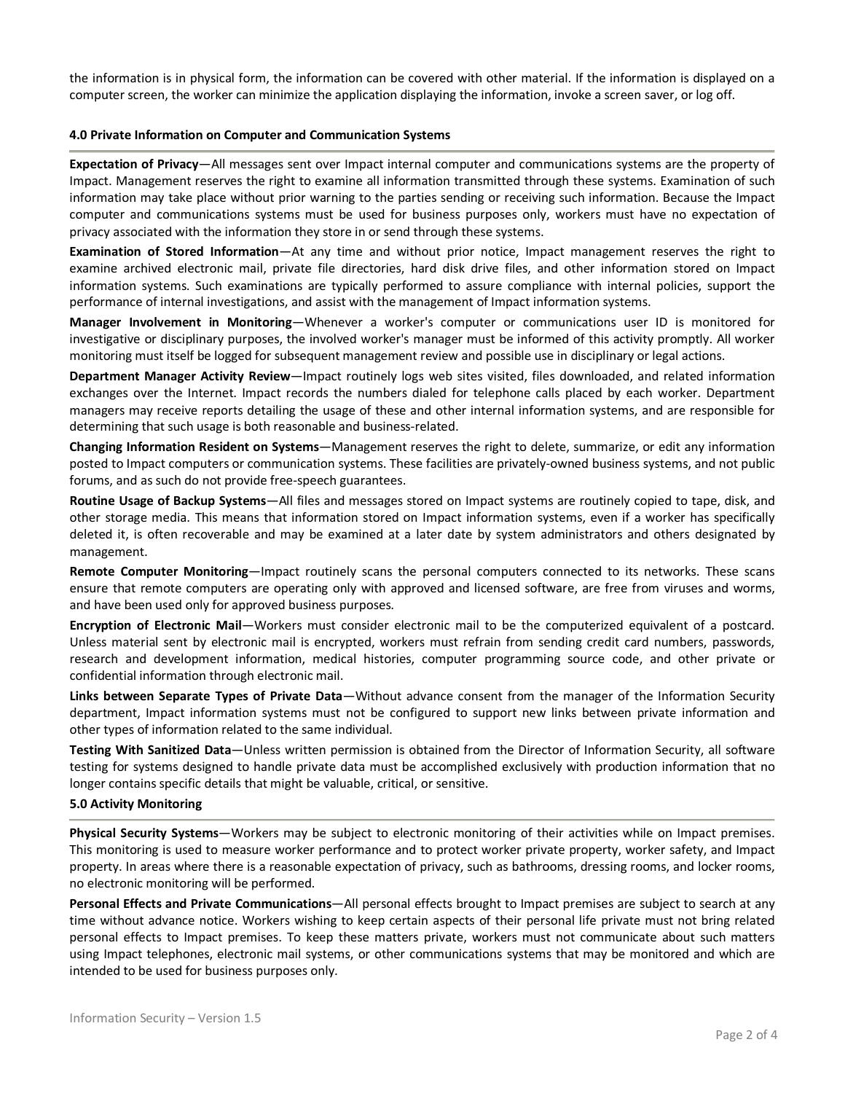the information is in physical form, the information can be covered with other material. If the information is displayed on a computer screen, the worker can minimize the application displaying the information, invoke a screen saver, or log off.

### **4.0 Private Information on Computer and Communication Systems**

**Expectation of Privacy**—All messages sent over Impact internal computer and communications systems are the property of Impact. Management reserves the right to examine all information transmitted through these systems. Examination of such information may take place without prior warning to the parties sending or receiving such information. Because the Impact computer and communications systems must be used for business purposes only, workers must have no expectation of privacy associated with the information they store in or send through these systems.

**Examination of Stored Information**—At any time and without prior notice, Impact management reserves the right to examine archived electronic mail, private file directories, hard disk drive files, and other information stored on Impact information systems. Such examinations are typically performed to assure compliance with internal policies, support the performance of internal investigations, and assist with the management of Impact information systems.

**Manager Involvement in Monitoring**—Whenever a worker's computer or communications user ID is monitored for investigative or disciplinary purposes, the involved worker's manager must be informed of this activity promptly. All worker monitoring must itself be logged for subsequent management review and possible use in disciplinary or legal actions.

**Department Manager Activity Review**—Impact routinely logs web sites visited, files downloaded, and related information exchanges over the Internet. Impact records the numbers dialed for telephone calls placed by each worker. Department managers may receive reports detailing the usage of these and other internal information systems, and are responsible for determining that such usage is both reasonable and business-related.

**Changing Information Resident on Systems**—Management reserves the right to delete, summarize, or edit any information posted to Impact computers or communication systems. These facilities are privately-owned business systems, and not public forums, and as such do not provide free-speech guarantees.

**Routine Usage of Backup Systems**—All files and messages stored on Impact systems are routinely copied to tape, disk, and other storage media. This means that information stored on Impact information systems, even if a worker has specifically deleted it, is often recoverable and may be examined at a later date by system administrators and others designated by management.

**Remote Computer Monitoring**—Impact routinely scans the personal computers connected to its networks. These scans ensure that remote computers are operating only with approved and licensed software, are free from viruses and worms, and have been used only for approved business purposes.

**Encryption of Electronic Mail**—Workers must consider electronic mail to be the computerized equivalent of a postcard. Unless material sent by electronic mail is encrypted, workers must refrain from sending credit card numbers, passwords, research and development information, medical histories, computer programming source code, and other private or confidential information through electronic mail.

**Links between Separate Types of Private Data**—Without advance consent from the manager of the Information Security department, Impact information systems must not be configured to support new links between private information and other types of information related to the same individual.

**Testing With Sanitized Data**—Unless written permission is obtained from the Director of Information Security, all software testing for systems designed to handle private data must be accomplished exclusively with production information that no longer contains specific details that might be valuable, critical, or sensitive.

### **5.0 Activity Monitoring**

**Physical Security Systems**—Workers may be subject to electronic monitoring of their activities while on Impact premises. This monitoring is used to measure worker performance and to protect worker private property, worker safety, and Impact property. In areas where there is a reasonable expectation of privacy, such as bathrooms, dressing rooms, and locker rooms, no electronic monitoring will be performed.

**Personal Effects and Private Communications**—All personal effects brought to Impact premises are subject to search at any time without advance notice. Workers wishing to keep certain aspects of their personal life private must not bring related personal effects to Impact premises. To keep these matters private, workers must not communicate about such matters using Impact telephones, electronic mail systems, or other communications systems that may be monitored and which are intended to be used for business purposes only.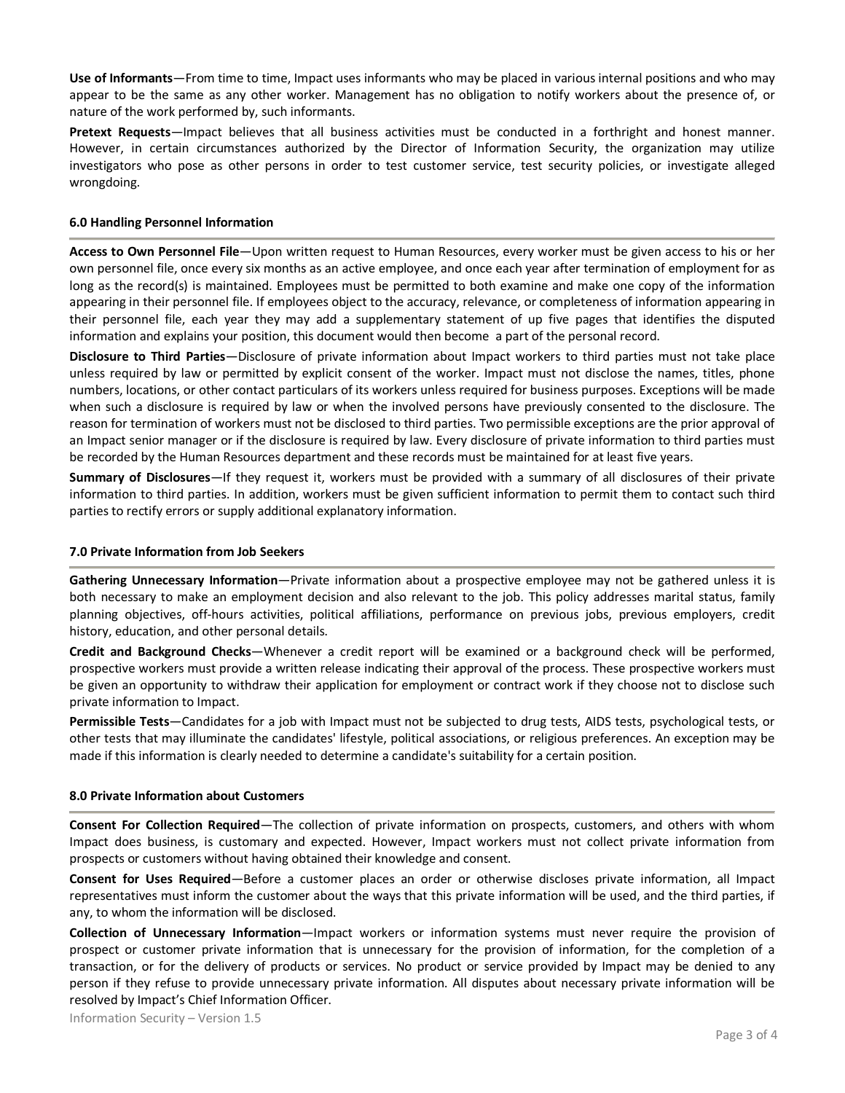**Use of Informants**—From time to time, Impact uses informants who may be placed in various internal positions and who may appear to be the same as any other worker. Management has no obligation to notify workers about the presence of, or nature of the work performed by, such informants.

**Pretext Requests**—Impact believes that all business activities must be conducted in a forthright and honest manner. However, in certain circumstances authorized by the Director of Information Security, the organization may utilize investigators who pose as other persons in order to test customer service, test security policies, or investigate alleged wrongdoing.

## **6.0 Handling Personnel Information**

**Access to Own Personnel File**—Upon written request to Human Resources, every worker must be given access to his or her own personnel file, once every six months as an active employee, and once each year after termination of employment for as long as the record(s) is maintained. Employees must be permitted to both examine and make one copy of the information appearing in their personnel file. If employees object to the accuracy, relevance, or completeness of information appearing in their personnel file, each year they may add a supplementary statement of up five pages that identifies the disputed information and explains your position, this document would then become a part of the personal record.

**Disclosure to Third Parties**—Disclosure of private information about Impact workers to third parties must not take place unless required by law or permitted by explicit consent of the worker. Impact must not disclose the names, titles, phone numbers, locations, or other contact particulars of its workers unless required for business purposes. Exceptions will be made when such a disclosure is required by law or when the involved persons have previously consented to the disclosure. The reason for termination of workers must not be disclosed to third parties. Two permissible exceptions are the prior approval of an Impact senior manager or if the disclosure is required by law. Every disclosure of private information to third parties must be recorded by the Human Resources department and these records must be maintained for at least five years.

**Summary of Disclosures**—If they request it, workers must be provided with a summary of all disclosures of their private information to third parties. In addition, workers must be given sufficient information to permit them to contact such third parties to rectify errors or supply additional explanatory information.

### **7.0 Private Information from Job Seekers**

**Gathering Unnecessary Information**—Private information about a prospective employee may not be gathered unless it is both necessary to make an employment decision and also relevant to the job. This policy addresses marital status, family planning objectives, off-hours activities, political affiliations, performance on previous jobs, previous employers, credit history, education, and other personal details.

**Credit and Background Checks**—Whenever a credit report will be examined or a background check will be performed, prospective workers must provide a written release indicating their approval of the process. These prospective workers must be given an opportunity to withdraw their application for employment or contract work if they choose not to disclose such private information to Impact.

**Permissible Tests**—Candidates for a job with Impact must not be subjected to drug tests, AIDS tests, psychological tests, or other tests that may illuminate the candidates' lifestyle, political associations, or religious preferences. An exception may be made if this information is clearly needed to determine a candidate's suitability for a certain position.

### **8.0 Private Information about Customers**

**Consent For Collection Required**—The collection of private information on prospects, customers, and others with whom Impact does business, is customary and expected. However, Impact workers must not collect private information from prospects or customers without having obtained their knowledge and consent.

**Consent for Uses Required**—Before a customer places an order or otherwise discloses private information, all Impact representatives must inform the customer about the ways that this private information will be used, and the third parties, if any, to whom the information will be disclosed.

**Collection of Unnecessary Information**—Impact workers or information systems must never require the provision of prospect or customer private information that is unnecessary for the provision of information, for the completion of a transaction, or for the delivery of products or services. No product or service provided by Impact may be denied to any person if they refuse to provide unnecessary private information. All disputes about necessary private information will be resolved by Impact's Chief Information Officer.

Information Security – Version 1.5